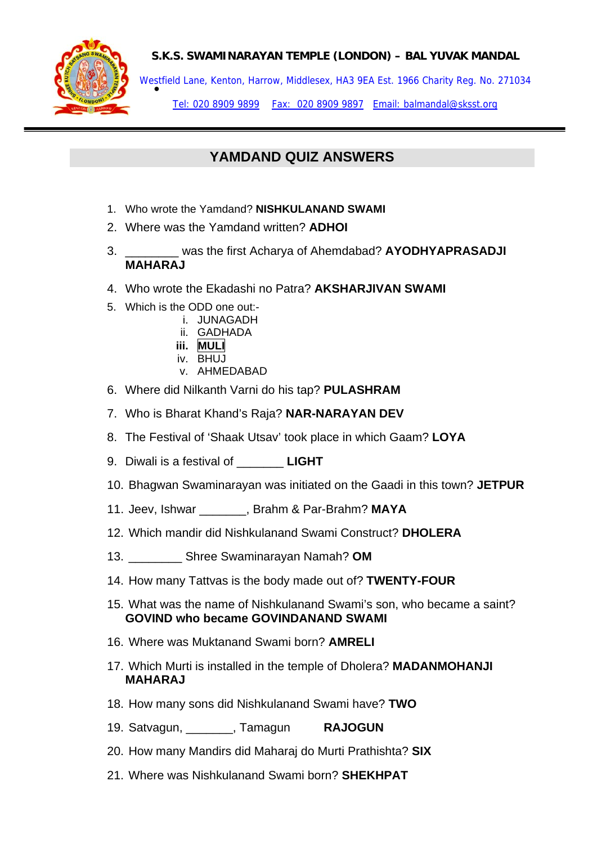

Westfield Lane, Kenton, Harrow, Middlesex, HA3 9EA Est. 1966 Charity Reg. No. 271034<br>●

Tel: 020 8909 9899 Fax: 020 8909 9897 Email: balmandal@sksst.org

# **YAMDAND QUIZ ANSWERS**

- 1. Who wrote the Yamdand? **NISHKULANAND SWAMI**
- 2. Where was the Yamdand written? **ADHOI**
- 3. \_\_\_\_\_\_\_\_ was the first Acharya of Ahemdabad? **AYODHYAPRASADJI MAHARAJ**
- 4. Who wrote the Ekadashi no Patra? **AKSHARJIVAN SWAMI**
- 5. Which is the ODD one out:
	- i. JUNAGADH
	- ii. GADHADA
	- **iii. MULI**
	- $iv$  BHUJ
	- v. AHMEDABAD
- 6. Where did Nilkanth Varni do his tap? **PULASHRAM**
- 7. Who is Bharat Khand's Raja? **NAR-NARAYAN DEV**
- 8. The Festival of 'Shaak Utsav' took place in which Gaam? **LOYA**
- 9. Diwali is a festival of \_\_\_\_\_\_\_ **LIGHT**
- 10. Bhagwan Swaminarayan was initiated on the Gaadi in this town? **JETPUR**
- 11. Jeev, Ishwar \_\_\_\_\_\_\_, Brahm & Par-Brahm? **MAYA**
- 12. Which mandir did Nishkulanand Swami Construct? **DHOLERA**
- 13. \_\_\_\_\_\_\_\_ Shree Swaminarayan Namah? **OM**
- 14. How many Tattvas is the body made out of? **TWENTY-FOUR**
- 15. What was the name of Nishkulanand Swami's son, who became a saint? **GOVIND who became GOVINDANAND SWAMI**
- 16. Where was Muktanand Swami born? **AMRELI**
- 17. Which Murti is installed in the temple of Dholera? **MADANMOHANJI MAHARAJ**
- 18. How many sons did Nishkulanand Swami have? **TWO**
- 19. Satvagun, \_\_\_\_\_\_\_, Tamagun **RAJOGUN**
- 20. How many Mandirs did Maharaj do Murti Prathishta? **SIX**
- 21. Where was Nishkulanand Swami born? **SHEKHPAT**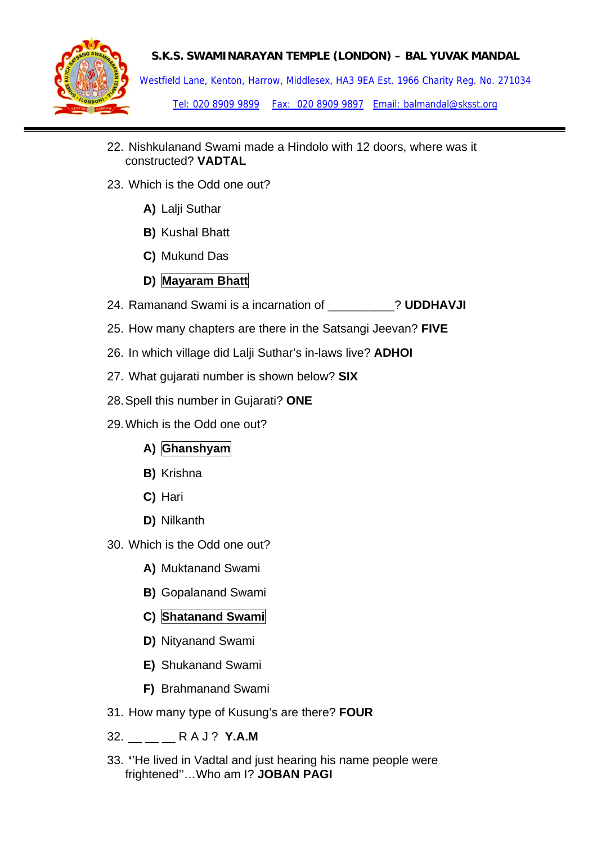

Westfield Lane, Kenton, Harrow, Middlesex, HA3 9EA Est. 1966 Charity Reg. No. 271034 Tel: 020 8909 9899 Fax: 020 8909 9897 Email: balmandal@sksst.org

- 22. Nishkulanand Swami made a Hindolo with 12 doors, where was it constructed? **VADTAL**
- 23. Which is the Odd one out?
	- **A)** Lalji Suthar
	- **B)** Kushal Bhatt
	- **C)** Mukund Das

## **D) Mayaram Bhatt**

- 24. Ramanand Swami is a incarnation of \_\_\_\_\_\_\_\_\_\_? **UDDHAVJI**
- 25. How many chapters are there in the Satsangi Jeevan? **FIVE**
- 26. In which village did Lalji Suthar's in-laws live? **ADHOI**
- 27. What gujarati number is shown below? **SIX**
- 28. Spell this number in Gujarati? **ONE**
- 29. Which is the Odd one out?
	- A) Ghanshyam
	- **B)** Krishna
	- **C)** Hari
	- **D)** Nilkanth
- 30. Which is the Odd one out?
	- **A)** Muktanand Swami
	- **B)** Gopalanand Swami
	- **C) Shatanand Swami**
	- **D)** Nityanand Swami
	- **E)** Shukanand Swami
	- **F)** Brahmanand Swami
- 31. How many type of Kusung's are there? **FOUR**
- 32. \_\_ \_\_ \_\_ R A J ? **Y.A.M**
- 33. **'**'He lived in Vadtal and just hearing his name people were frightened''…Who am I? **JOBAN PAGI**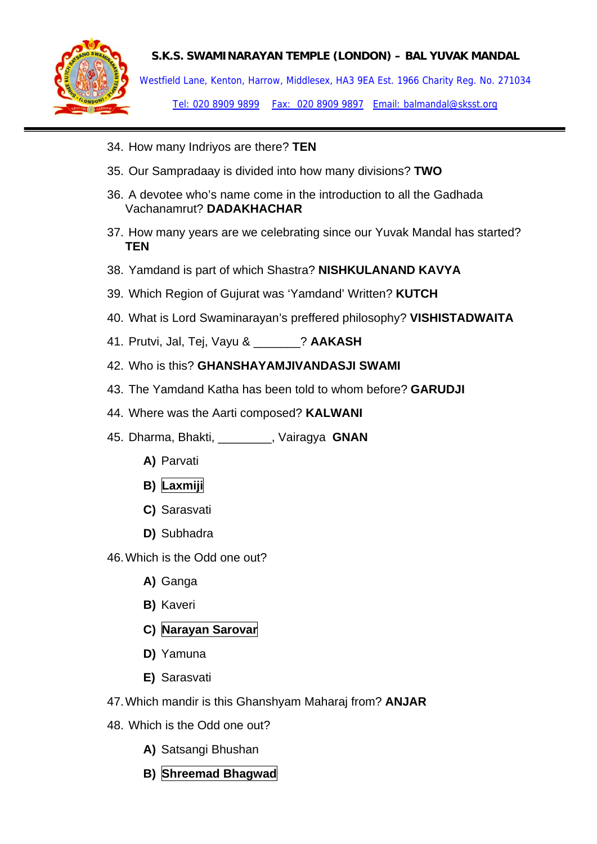

Westfield Lane, Kenton, Harrow, Middlesex, HA3 9EA Est. 1966 Charity Reg. No. 271034 Tel: 020 8909 9899 Fax: 020 8909 9897 Email: balmandal@sksst.org

- 34. How many Indriyos are there? **TEN**
- 35. Our Sampradaay is divided into how many divisions? **TWO**
- 36. A devotee who's name come in the introduction to all the Gadhada Vachanamrut? **DADAKHACHAR**
- 37. How many years are we celebrating since our Yuvak Mandal has started? **TEN**
- 38. Yamdand is part of which Shastra? **NISHKULANAND KAVYA**
- 39. Which Region of Gujurat was 'Yamdand' Written? **KUTCH**
- 40. What is Lord Swaminarayan's preffered philosophy? **VISHISTADWAITA**
- 41. Prutvi, Jal, Tej, Vayu & \_\_\_\_\_\_\_? **AAKASH**
- 42. Who is this? **GHANSHAYAMJIVANDASJI SWAMI**
- 43. The Yamdand Katha has been told to whom before? **GARUDJI**
- 44. Where was the Aarti composed? **KALWANI**
- 45. Dharma, Bhakti, \_\_\_\_\_\_\_\_, Vairagya **GNAN**
	- **A)** Parvati
	- **B)** Laxmiji
	- **C)** Sarasvati
	- **D)** Subhadra
- 46. Which is the Odd one out?
	- **A)** Ganga
	- **B)** Kaveri
	- **C) Narayan Sarovar**
	- **D)** Yamuna
	- **E)** Sarasvati
- 47. Which mandir is this Ghanshyam Maharaj from? **ANJAR**
- 48. Which is the Odd one out?
	- **A)** Satsangi Bhushan
	- **B) Shreemad Bhagwad**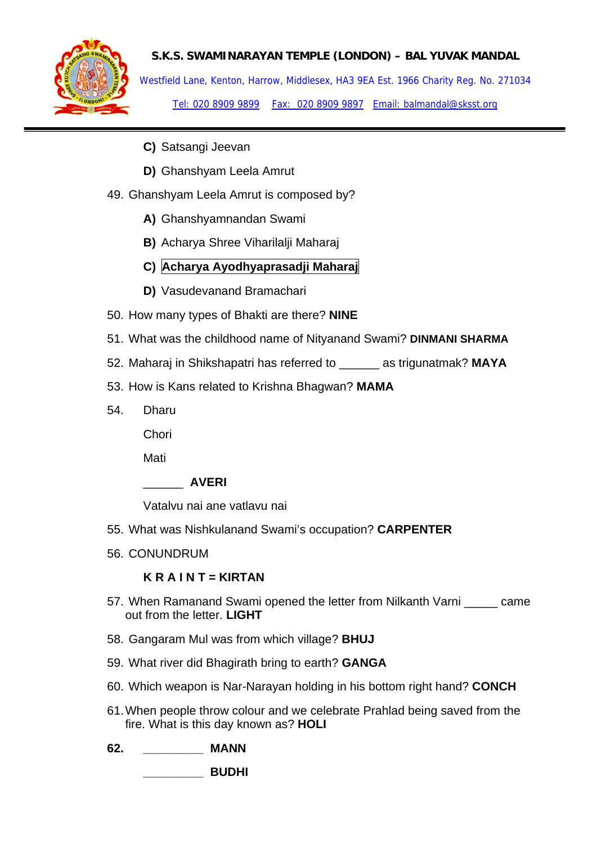

Westfield Lane, Kenton, Harrow, Middlesex, HA3 9EA Est. 1966 Charity Reg. No. 271034 Tel: 020 8909 9899 Fax: 020 8909 9897 Email: balmandal@sksst.org

- **C)** Satsangi Jeevan
- **D)** Ghanshyam Leela Amrut
- 49. Ghanshyam Leela Amrut is composed by?
	- **A)** Ghanshyamnandan Swami
	- **B)** Acharya Shree Viharilalji Maharaj
	- **C) Acharya Ayodhyaprasadji Maharaj**
	- **D)** Vasudevanand Bramachari
- 50. How many types of Bhakti are there? **NINE**
- 51. What was the childhood name of Nityanand Swami? **DINMANI SHARMA**
- 52. Maharaj in Shikshapatri has referred to \_\_\_\_\_\_ as trigunatmak? **MAYA**
- 53. How is Kans related to Krishna Bhagwan? **MAMA**
- 54. Dharu

**Chori** 

Mati

### \_\_\_\_\_\_ **AVERI**

Vatalvu nai ane vatlavu nai

- 55. What was Nishkulanand Swami's occupation? **CARPENTER**
- 56. CONUNDRUM

## **K R A I N T = KIRTAN**

- 57. When Ramanand Swami opened the letter from Nilkanth Varni \_\_\_\_\_ came out from the letter. **LIGHT**
- 58. Gangaram Mul was from which village? **BHUJ**
- 59. What river did Bhagirath bring to earth? **GANGA**
- 60. Which weapon is Nar-Narayan holding in his bottom right hand? **CONCH**
- 61. When people throw colour and we celebrate Prahlad being saved from the fire. What is this day known as? **HOLI**
- **62. \_\_\_\_\_\_\_\_\_ MANN**

 **\_\_\_\_\_\_\_\_\_ BUDHI**